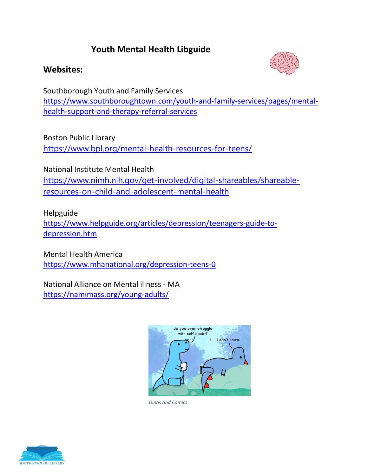## **Youth Mental Health Libguide**

## **Websites:**



Southborough Youth and Family Services [https://www.southboroughtown.com/youth-and-family-services/pages/mental](https://www.southboroughtown.com/youth-and-family-services/pages/mental-health-support-and-therapy-referral-services)[health-support-and-therapy-referral-services](https://www.southboroughtown.com/youth-and-family-services/pages/mental-health-support-and-therapy-referral-services)

Boston Public Library

<https://www.bpl.org/mental-health-resources-for-teens/>

National Institute Mental Health [https://www.nimh.nih.gov/get-involved/digital-shareables/shareable](https://www.nimh.nih.gov/get-involved/digital-shareables/shareable-resources-on-child-and-adolescent-mental-health)[resources-on-child-and-adolescent-mental-health](https://www.nimh.nih.gov/get-involved/digital-shareables/shareable-resources-on-child-and-adolescent-mental-health)

Helpguide

[https://www.helpguide.org/articles/depression/teenagers-guide-to](https://www.helpguide.org/articles/depression/teenagers-guide-to-depression.htm)[depression.htm](https://www.helpguide.org/articles/depression/teenagers-guide-to-depression.htm)

Mental Health America <https://www.mhanational.org/depression-teens-0>

National Alliance on Mental illness - MA <https://namimass.org/young-adults/>



*Dinos and Comics*